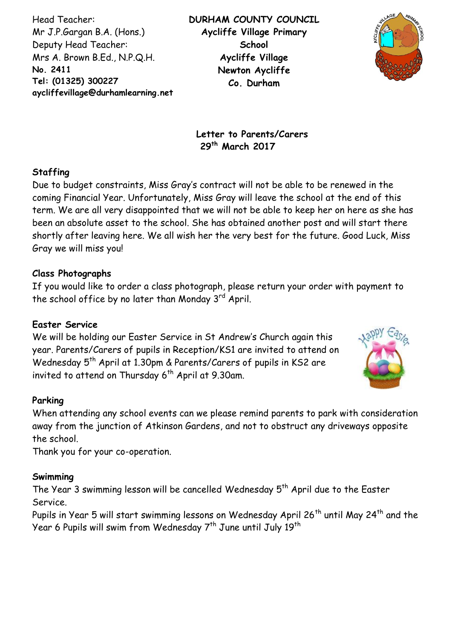Head Teacher: Mr J.P.Gargan B.A. (Hons.) Deputy Head Teacher: Mrs A. Brown B.Ed., N.P.Q.H. **No. 2411 Tel: (01325) 300227 aycliffevillage@durhamlearning.net DL5 6LG** **DURHAM COUNTY COUNCIL Aycliffe Village Primary School Aycliffe Village Newton Aycliffe Co. Durham**



**Letter to Parents/Carers 29 th March 2017**

### **Staffing**

Due to budget constraints, Miss Gray's contract will not be able to be renewed in the coming Financial Year. Unfortunately, Miss Gray will leave the school at the end of this term. We are all very disappointed that we will not be able to keep her on here as she has been an absolute asset to the school. She has obtained another post and will start there shortly after leaving here. We all wish her the very best for the future. Good Luck, Miss Gray we will miss you!

### **Class Photographs**

If you would like to order a class photograph, please return your order with payment to the school office by no later than Monday 3rd April.

## **Easter Service**

We will be holding our Easter Service in St Andrew's Church again this year. Parents/Carers of pupils in Reception/KS1 are invited to attend on Wednesday 5<sup>th</sup> April at 1.30pm & Parents/Carers of pupils in KS2 are invited to attend on Thursday 6 th April at 9.30am.



### **Parking**

When attending any school events can we please remind parents to park with consideration away from the junction of Atkinson Gardens, and not to obstruct any driveways opposite the school.

Thank you for your co-operation.

### **Swimming**

The Year 3 swimming lesson will be cancelled Wednesday 5<sup>th</sup> April due to the Easter Service.

Pupils in Year 5 will start swimming lessons on Wednesday April 26<sup>th</sup> until May 24<sup>th</sup> and the Year 6 Pupils will swim from Wednesday 7<sup>th</sup> June until July 19<sup>th</sup>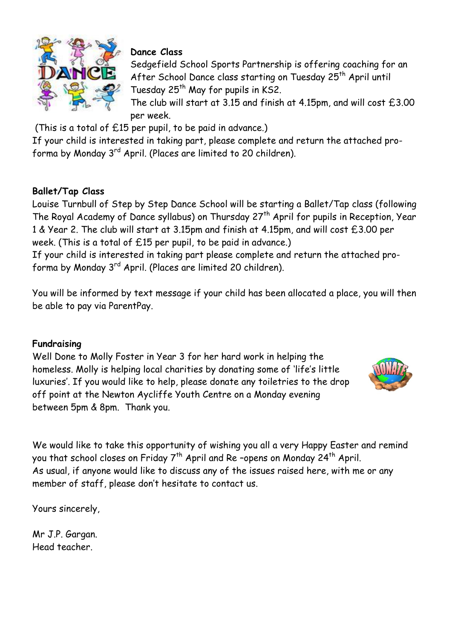

# **Dance Class**

Sedgefield School Sports Partnership is offering coaching for an After School Dance class starting on Tuesday 25<sup>th</sup> April until Tuesday 25<sup>th</sup> May for pupils in KS2.

The club will start at 3.15 and finish at 4.15pm, and will cost £3.00 per week.

(This is a total of £15 per pupil, to be paid in advance.)

If your child is interested in taking part, please complete and return the attached proforma by Monday 3rd April. (Places are limited to 20 children).

# **Ballet/Tap Class**

Louise Turnbull of Step by Step Dance School will be starting a Ballet/Tap class (following The Royal Academy of Dance syllabus) on Thursday 27<sup>th</sup> April for pupils in Reception, Year 1 & Year 2. The club will start at 3.15pm and finish at 4.15pm, and will cost £3.00 per week. (This is a total of £15 per pupil, to be paid in advance.)

If your child is interested in taking part please complete and return the attached proforma by Monday 3rd April. (Places are limited 20 children).

You will be informed by text message if your child has been allocated a place, you will then be able to pay via ParentPay.

## **Fundraising**

Well Done to Molly Foster in Year 3 for her hard work in helping the homeless. Molly is helping local charities by donating some of 'life's little luxuries'. If you would like to help, please donate any toiletries to the drop off point at the Newton Aycliffe Youth Centre on a Monday evening between 5pm & 8pm. Thank you.



We would like to take this opportunity of wishing you all a very Happy Easter and remind you that school closes on Friday 7<sup>th</sup> April and Re-opens on Monday 24<sup>th</sup> April. As usual, if anyone would like to discuss any of the issues raised here, with me or any member of staff, please don't hesitate to contact us.

Yours sincerely,

Mr J.P. Gargan. Head teacher.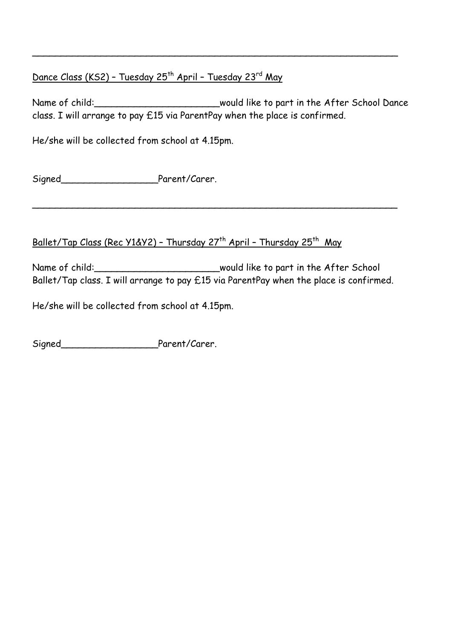# Dance Class (KS2) - Tuesday 25<sup>th</sup> April - Tuesday 23<sup>rd</sup> May

Name of child: \_\_\_\_\_\_\_\_\_\_\_\_\_\_\_\_\_\_\_\_\_\_\_\_\_would like to part in the After School Dance class. I will arrange to pay £15 via ParentPay when the place is confirmed.

\_\_\_\_\_\_\_\_\_\_\_\_\_\_\_\_\_\_\_\_\_\_\_\_\_\_\_\_\_\_\_\_\_\_\_\_\_\_\_\_\_\_\_\_\_\_\_\_\_\_\_\_\_\_\_\_\_\_\_\_\_\_\_\_

He/she will be collected from school at 4.15pm.

Signed\_\_\_\_\_\_\_\_\_\_\_\_\_\_\_\_\_Parent/Carer.

## <u> Ballet/Tap Class (Rec Y1&Y2) - Thursday 27<sup>th</sup> April - Thursday 25<sup>th</sup> May</u>

Name of child:\_\_\_\_\_\_\_\_\_\_\_\_\_\_\_\_\_\_\_\_\_\_\_\_\_\_\_\_\_\_\_\_would like to part in the After School Ballet/Tap class. I will arrange to pay £15 via ParentPay when the place is confirmed.

\_\_\_\_\_\_\_\_\_\_\_\_\_\_\_\_\_\_\_\_\_\_\_\_\_\_\_\_\_\_\_\_\_\_\_\_\_\_\_\_\_\_\_\_\_\_\_\_\_\_\_\_\_\_\_\_\_\_\_\_\_\_\_\_

He/she will be collected from school at 4.15pm.

Signed\_\_\_\_\_\_\_\_\_\_\_\_\_\_\_\_\_Parent/Carer.